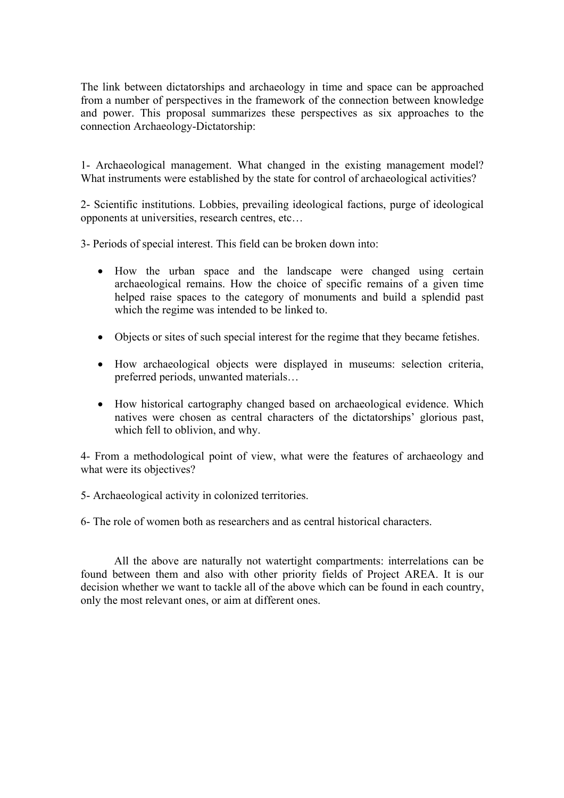The link between dictatorships and archaeology in time and space can be approached from a number of perspectives in the framework of the connection between knowledge and power. This proposal summarizes these perspectives as six approaches to the connection Archaeology-Dictatorship:

1- Archaeological management. What changed in the existing management model? What instruments were established by the state for control of archaeological activities?

2- Scientific institutions. Lobbies, prevailing ideological factions, purge of ideological opponents at universities, research centres, etc…

3- Periods of special interest. This field can be broken down into:

- How the urban space and the landscape were changed using certain archaeological remains. How the choice of specific remains of a given time helped raise spaces to the category of monuments and build a splendid past which the regime was intended to be linked to.
- Objects or sites of such special interest for the regime that they became fetishes.
- How archaeological objects were displayed in museums: selection criteria, preferred periods, unwanted materials…
- How historical cartography changed based on archaeological evidence. Which natives were chosen as central characters of the dictatorships' glorious past, which fell to oblivion, and why.

4- From a methodological point of view, what were the features of archaeology and what were its objectives?

5- Archaeological activity in colonized territories.

6- The role of women both as researchers and as central historical characters.

All the above are naturally not watertight compartments: interrelations can be found between them and also with other priority fields of Project AREA. It is our decision whether we want to tackle all of the above which can be found in each country, only the most relevant ones, or aim at different ones.